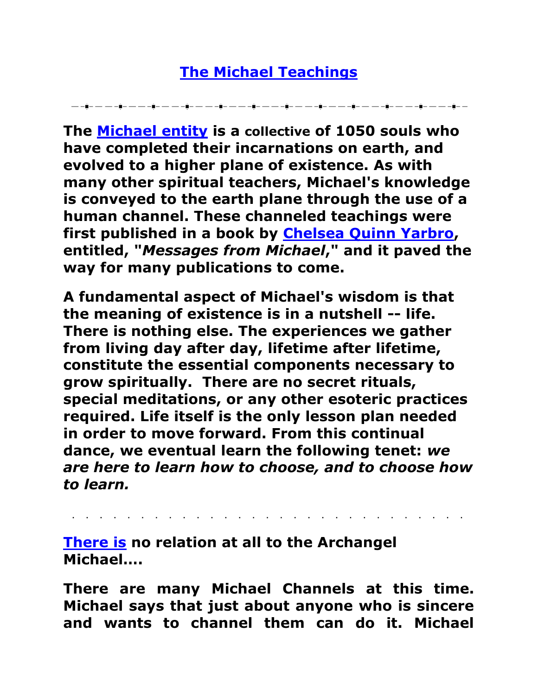## **[The Michael Teachings](http://www.michaelteachings.com/who_is_michael.html)**

▁▁▁▊▁▁▁▁▁▁▊▁▁▁▁▁▋▁▁▁▁▁▋▁▁▁▁▁▋▁▁▁▁▁▌▁▁▁▁▌▁▁▁▁▁▌▁▁▎▁▁▁▁▌▁▁▁▁▎▁▎▁▁▁▎▁▎▁▁▁▁▎▁▌▁▁▁▁▎▁▌▁▁

**The [Michael entity](http://www.michaelteachings.com/who_is_michael.html) is a collective of 1050 souls who have completed their incarnations on earth, and evolved to a higher plane of existence. As with many other spiritual teachers, Michael's knowledge is conveyed to the earth plane through the use of a human channel. These channeled teachings were first published in a book by [Chelsea Quinn Yarbro,](http://www.michaelteachings.com/yarbro.html) entitled, "***Messages from Michael***," and it paved the way for many publications to come.**

**A fundamental aspect of Michael's wisdom is that the meaning of existence is in a nutshell -- life. There is nothing else. The experiences we gather from living day after day, lifetime after lifetime, constitute the essential components necessary to grow spiritually. There are no secret rituals, special meditations, or any other esoteric practices required. Life itself is the only lesson plan needed in order to move forward. From this continual dance, we eventual learn the following tenet:** *we are here to learn how to choose, and to choose how to learn.*

**[There is](http://www.michaelteachings.com/mfaq.html) no relation at all to the Archangel Michael….**

**There are many Michael Channels at this time. Michael says that just about anyone who is sincere and wants to channel them can do it. Michael**